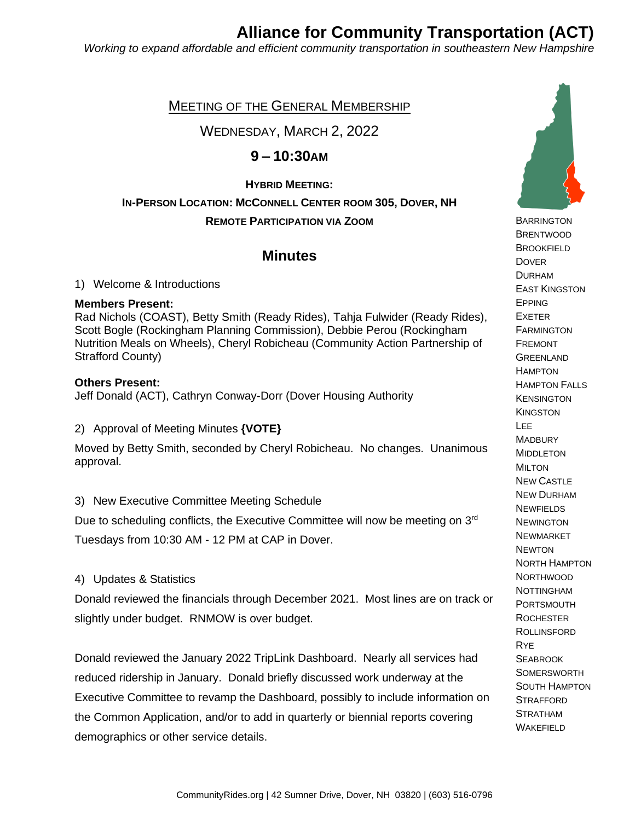## **Alliance for Community Transportation (ACT)**

*Working to expand affordable and efficient community transportation in southeastern New Hampshire*

### MEETING OF THE GENERAL MEMBERSHIP

WEDNESDAY, MARCH 2, 2022

## **9 – 10:30AM**

#### **HYBRID MEETING:**

## **IN-PERSON LOCATION: MCCONNELL CENTER ROOM 305, DOVER, NH REMOTE PARTICIPATION VIA ZOOM**

## **Minutes**

1) Welcome & Introductions

#### **Members Present:**

Rad Nichols (COAST), Betty Smith (Ready Rides), Tahja Fulwider (Ready Rides), Scott Bogle (Rockingham Planning Commission), Debbie Perou (Rockingham Nutrition Meals on Wheels), Cheryl Robicheau (Community Action Partnership of Strafford County)

#### **Others Present:**

Jeff Donald (ACT), Cathryn Conway-Dorr (Dover Housing Authority

2) Approval of Meeting Minutes **{VOTE}**

Moved by Betty Smith, seconded by Cheryl Robicheau. No changes. Unanimous approval.

#### 3) New Executive Committee Meeting Schedule

Due to scheduling conflicts, the Executive Committee will now be meeting on 3<sup>rd</sup>

Tuesdays from 10:30 AM - 12 PM at CAP in Dover.

#### 4) Updates & Statistics

Donald reviewed the financials through December 2021. Most lines are on track or slightly under budget. RNMOW is over budget.

Donald reviewed the January 2022 TripLink Dashboard. Nearly all services had reduced ridership in January. Donald briefly discussed work underway at the Executive Committee to revamp the Dashboard, possibly to include information on the Common Application, and/or to add in quarterly or biennial reports covering demographics or other service details.



**BARRINGTON** 

 BRENTWOOD **BROOKFIELD DOVER**  DURHAM EAST KINGSTON EPPING EXETER **FARMINGTON**  FREMONT **GREENLAND HAMPTON**  HAMPTON FALLS **KENSINGTON KINGSTON**  LEE **MADBURY**  MIDDLETON MILTON NEW CASTLE NEW DURHAM **NEWFIELDS NEWINGTON**  NEWMARKET **NEWTON**  NORTH HAMPTON **NORTHWOOD**  NOTTINGHAM PORTSMOUTH **ROCHESTER ROLLINSFORD**  RYE **SEABROOK**  SOMERSWORTH SOUTH HAMPTON **STRAFFORD**  STRATHAM **WAKEFIELD**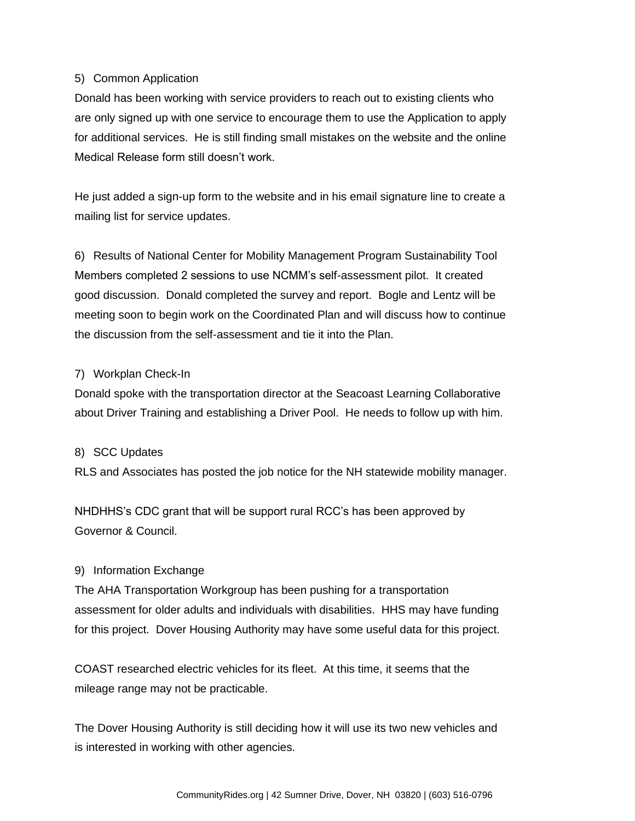#### 5) Common Application

Donald has been working with service providers to reach out to existing clients who are only signed up with one service to encourage them to use the Application to apply for additional services. He is still finding small mistakes on the website and the online Medical Release form still doesn't work.

He just added a sign-up form to the website and in his email signature line to create a mailing list for service updates.

6) Results of National Center for Mobility Management Program Sustainability Tool Members completed 2 sessions to use NCMM's self-assessment pilot. It created good discussion. Donald completed the survey and report. Bogle and Lentz will be meeting soon to begin work on the Coordinated Plan and will discuss how to continue the discussion from the self-assessment and tie it into the Plan.

#### 7) Workplan Check-In

Donald spoke with the transportation director at the Seacoast Learning Collaborative about Driver Training and establishing a Driver Pool. He needs to follow up with him.

#### 8) SCC Updates

RLS and Associates has posted the job notice for the NH statewide mobility manager.

NHDHHS's CDC grant that will be support rural RCC's has been approved by Governor & Council.

#### 9) Information Exchange

The AHA Transportation Workgroup has been pushing for a transportation assessment for older adults and individuals with disabilities. HHS may have funding for this project. Dover Housing Authority may have some useful data for this project.

COAST researched electric vehicles for its fleet. At this time, it seems that the mileage range may not be practicable.

The Dover Housing Authority is still deciding how it will use its two new vehicles and is interested in working with other agencies.